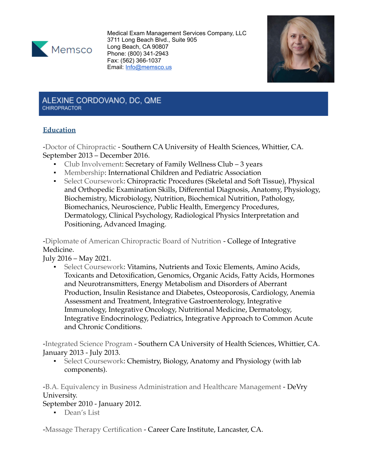

Medical Exam Management Services Company, LLC 3711 Long Beach Blvd., Suite 905 Long Beach, CA 90807 Phone: (800) 341-2943 Fax: (562) 366-1037 Email: [Info@memsco.us](mailto:Info@memsco.us)



#### ALEXINE CORDOVANO, DC, QME CHIROPRACTOR

# **Education**

-Doctor of Chiropractic - Southern CA University of Health Sciences, Whittier, CA. September 2013 – December 2016.

- Club Involvement: Secretary of Family Wellness Club 3 years
- Membership: International Children and Pediatric Association
- Select Coursework: Chiropractic Procedures (Skeletal and Soft Tissue), Physical and Orthopedic Examination Skills, Differential Diagnosis, Anatomy, Physiology, Biochemistry, Microbiology, Nutrition, Biochemical Nutrition, Pathology, Biomechanics, Neuroscience, Public Health, Emergency Procedures, Dermatology, Clinical Psychology, Radiological Physics Interpretation and Positioning, Advanced Imaging.

-Diplomate of American Chiropractic Board of Nutrition - College of Integrative Medicine.

July 2016 – May 2021.

**• Select Coursework: Vitamins, Nutrients and Toxic Elements, Amino Acids,** Toxicants and Detoxification, Genomics, Organic Acids, Fatty Acids, Hormones and Neurotransmitters, Energy Metabolism and Disorders of Aberrant Production, Insulin Resistance and Diabetes, Osteoporosis, Cardiology, Anemia Assessment and Treatment, Integrative Gastroenterology, Integrative Immunology, Integrative Oncology, Nutritional Medicine, Dermatology, Integrative Endocrinology, Pediatrics, Integrative Approach to Common Acute and Chronic Conditions.

-Integrated Science Program - Southern CA University of Health Sciences, Whittier, CA. January 2013 - July 2013.

▪ Select Coursework: Chemistry, Biology, Anatomy and Physiology (with lab components).

-B.A. Equivalency in Business Administration and Healthcare Management - DeVry University.

September 2010 - January 2012.

▪ Dean's List

-Massage Therapy Certification - Career Care Institute, Lancaster, CA.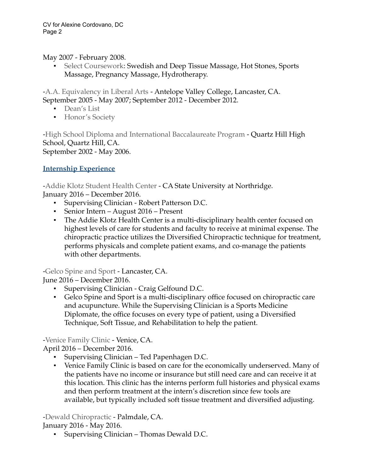#### May 2007 - February 2008.

Select Coursework: Swedish and Deep Tissue Massage, Hot Stones, Sports Massage, Pregnancy Massage, Hydrotherapy.

-A.A. Equivalency in Liberal Arts - Antelope Valley College, Lancaster, CA. September 2005 - May 2007; September 2012 - December 2012.

- Dean's List
- **•** Honor's Society

-High School Diploma and International Baccalaureate Program - Quartz Hill High School, Quartz Hill, CA. September 2002 - May 2006.

# **Internship Experience**

-Addie Klotz Student Health Center - CA State University at Northridge. January 2016 – December 2016.

- Supervising Clinician Robert Patterson D.C.
- Senior Intern August 2016 Present
- The Addie Klotz Health Center is a multi-disciplinary health center focused on highest levels of care for students and faculty to receive at minimal expense. The chiropractic practice utilizes the Diversified Chiropractic technique for treatment, performs physicals and complete patient exams, and co-manage the patients with other departments.

-Gelco Spine and Sport - Lancaster, CA.

June 2016 – December 2016.

- Supervising Clinician Craig Gelfound D.C.
- Gelco Spine and Sport is a multi-disciplinary office focused on chiropractic care and acupuncture. While the Supervising Clinician is a Sports Medicine Diplomate, the office focuses on every type of patient, using a Diversified Technique, Soft Tissue, and Rehabilitation to help the patient.

### -Venice Family Clinic - Venice, CA.

April 2016 – December 2016.

- Supervising Clinician Ted Papenhagen D.C.
- Venice Family Clinic is based on care for the economically underserved. Many of the patients have no income or insurance but still need care and can receive it at this location. This clinic has the interns perform full histories and physical exams and then perform treatment at the intern's discretion since few tools are available, but typically included soft tissue treatment and diversified adjusting.

-Dewald Chiropractic - Palmdale, CA.

January 2016 - May 2016.

▪ Supervising Clinician – Thomas Dewald D.C.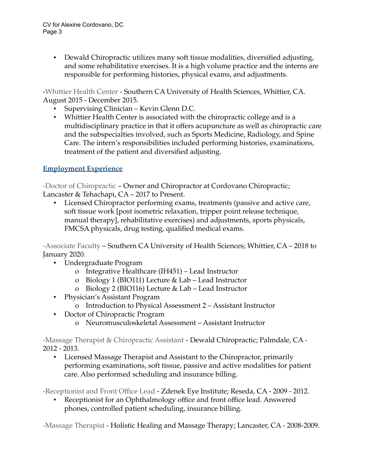▪ Dewald Chiropractic utilizes many soft tissue modalities, diversified adjusting, and some rehabilitative exercises. It is a high volume practice and the interns are responsible for performing histories, physical exams, and adjustments.

-Whittier Health Center - Southern CA University of Health Sciences, Whittier, CA. August 2015 - December 2015.

- Supervising Clinician Kevin Glenn D.C.
- Whittier Health Center is associated with the chiropractic college and is a multidisciplinary practice in that it offers acupuncture as well as chiropractic care and the subspecialties involved, such as Sports Medicine, Radiology, and Spine Care. The intern's responsibilities included performing histories, examinations, treatment of the patient and diversified adjusting.

# **Employment Experience**

-Doctor of Chiropractic – Owner and Chiropractor at Cordovano Chiropractic; Lancaster & Tehachapi, CA – 2017 to Present.

▪ Licensed Chiropractor performing exams, treatments (passive and active care, soft tissue work [post isometric relaxation, tripper point release technique, manual therapy], rehabilitative exercises) and adjustments, sports physicals, FMCSA physicals, drug testing, qualified medical exams.

-Associate Faculty – Southern CA University of Health Sciences; Whittier, CA – 2018 to January 2020.

- Undergraduate Program
	- o Integrative Healthcare (IH451) Lead Instructor
	- o Biology 1 (BIO111) Lecture & Lab Lead Instructor
	- o Biology 2 (BIO116) Lecture & Lab Lead Instructor
- Physician's Assistant Program
	- o Introduction to Physical Assessment 2 Assistant Instructor
- Doctor of Chiropractic Program
	- o Neuromusculoskeletal Assessment Assistant Instructor

-Massage Therapist & Chiropractic Assistant - Dewald Chiropractic; Palmdale, CA - 2012 - 2013.

▪ Licensed Massage Therapist and Assistant to the Chiropractor, primarily performing examinations, soft tissue, passive and active modalities for patient care. Also performed scheduling and insurance billing.

-Receptionist and Front Office Lead - Zdenek Eye Institute; Reseda, CA - 2009 - 2012.

Receptionist for an Ophthalmology office and front office lead. Answered phones, controlled patient scheduling, insurance billing.

-Massage Therapist - Holistic Healing and Massage Therapy; Lancaster, CA - 2008-2009.